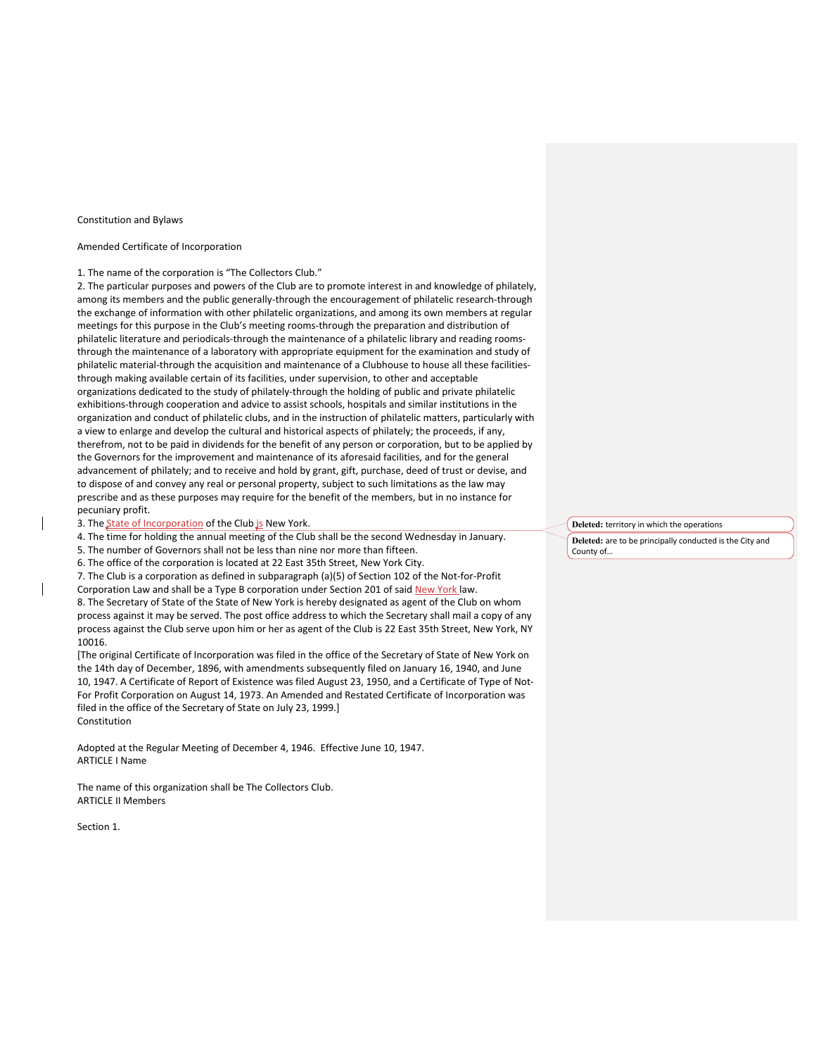#### Constitution and Bylaws

# Amended Certificate of Incorporation

## 1. The name of the corporation is "The Collectors Club."

2. The particular purposes and powers of the Club are to promote interest in and knowledge of philately, among its members and the public generally-through the encouragement of philatelic research-through the exchange of information with other philatelic organizations, and among its own members at regular meetings for this purpose in the Club's meeting rooms-through the preparation and distribution of philatelic literature and periodicals-through the maintenance of a philatelic library and reading roomsthrough the maintenance of a laboratory with appropriate equipment for the examination and study of philatelic material-through the acquisition and maintenance of a Clubhouse to house all these facilitiesthrough making available certain of its facilities, under supervision, to other and acceptable organizations dedicated to the study of philately-through the holding of public and private philatelic exhibitions-through cooperation and advice to assist schools, hospitals and similar institutions in the organization and conduct of philatelic clubs, and in the instruction of philatelic matters, particularly with a view to enlarge and develop the cultural and historical aspects of philately; the proceeds, if any, therefrom, not to be paid in dividends for the benefit of any person or corporation, but to be applied by the Governors for the improvement and maintenance of its aforesaid facilities, and for the general advancement of philately; and to receive and hold by grant, gift, purchase, deed of trust or devise, and to dispose of and convey any real or personal property, subject to such limitations as the law may prescribe and as these purposes may require for the benefit of the members, but in no instance for pecuniary profit.

3. The State of Incorporation of the Club is New York.

4. The time for holding the annual meeting of the Club shall be the second Wednesday in January.

- 5. The number of Governors shall not be less than nine nor more than fifteen.
- 6. The office of the corporation is located at 22 East 35th Street, New York City.

7. The Club is a corporation as defined in subparagraph (a)(5) of Section 102 of the Not-for-Profit

Corporation Law and shall be a Type B corporation under Section 201 of said New York law.

8. The Secretary of State of the State of New York is hereby designated as agent of the Club on whom process against it may be served. The post office address to which the Secretary shall mail a copy of any process against the Club serve upon him or her as agent of the Club is 22 East 35th Street, New York, NY 10016.

[The original Certificate of Incorporation was filed in the office of the Secretary of State of New York on the 14th day of December, 1896, with amendments subsequently filed on January 16, 1940, and June 10, 1947. A Certificate of Report of Existence was filed August 23, 1950, and a Certificate of Type of Not-For Profit Corporation on August 14, 1973. An Amended and Restated Certificate of Incorporation was filed in the office of the Secretary of State on July 23, 1999.] Constitution

Adopted at the Regular Meeting of December 4, 1946. Effective June 10, 1947. ARTICLE I Name

The name of this organization shall be The Collectors Club. ARTICLE II Members

Section 1.

**Deleted:** territory in which the operations

**Deleted:** are to be principally conducted is the City and County of…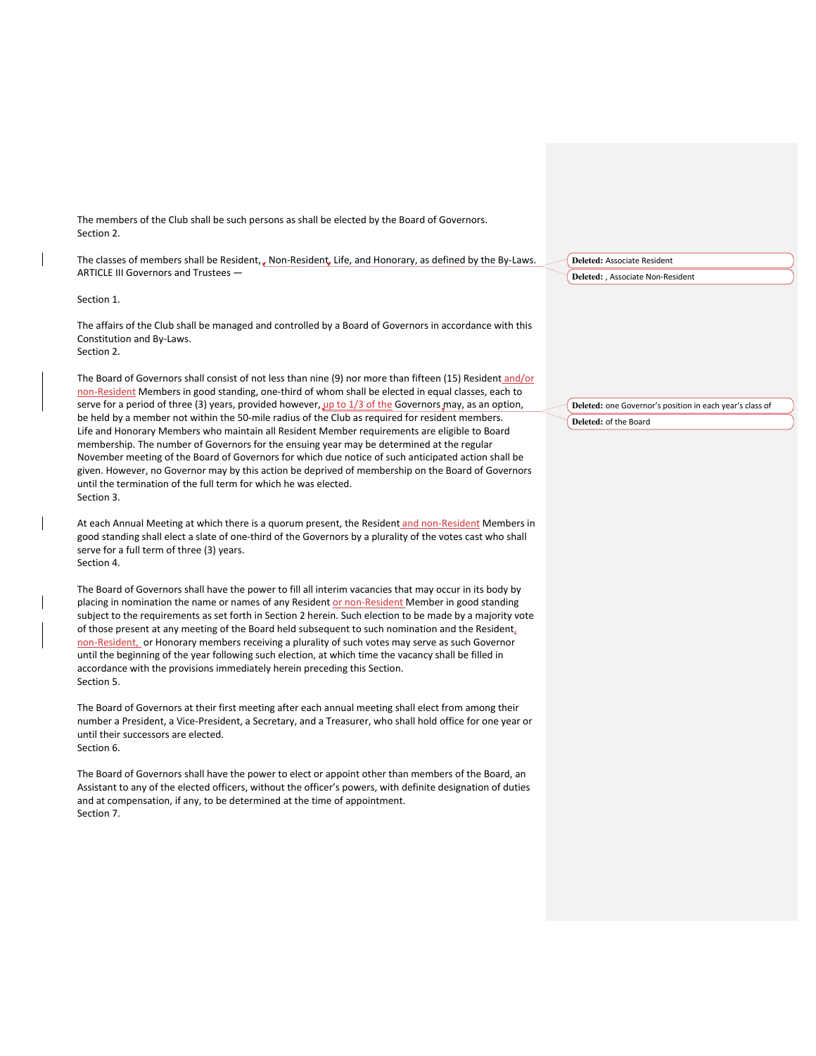The members of the Club shall be such persons as shall be elected by the Board of Governors. Section 2.

The classes of members shall be Resident, , Non-Resident, Life, and Honorary, as defined by the By-Laws. ARTICLE III Governors and Trustees —

# Section 1.

The affairs of the Club shall be managed and controlled by a Board of Governors in accordance with this Constitution and By-Laws. Section 2.

The Board of Governors shall consist of not less than nine (9) nor more than fifteen (15) Resident and/or non-Resident Members in good standing, one-third of whom shall be elected in equal classes, each to serve for a period of three (3) years, provided however,  $\mu$ p to 1/3 of the Governors may, as an option, be held by a member not within the 50-mile radius of the Club as required for resident members. Life and Honorary Members who maintain all Resident Member requirements are eligible to Board membership. The number of Governors for the ensuing year may be determined at the regular November meeting of the Board of Governors for which due notice of such anticipated action shall be given. However, no Governor may by this action be deprived of membership on the Board of Governors until the termination of the full term for which he was elected. Section 3.

At each Annual Meeting at which there is a quorum present, the Resident and non-Resident Members in good standing shall elect a slate of one-third of the Governors by a plurality of the votes cast who shall serve for a full term of three (3) years. Section 4.

The Board of Governors shall have the power to fill all interim vacancies that may occur in its body by placing in nomination the name or names of any Resident or non-Resident Member in good standing subject to the requirements as set forth in Section 2 herein. Such election to be made by a majority vote of those present at any meeting of the Board held subsequent to such nomination and the Resident, non-Resident, or Honorary members receiving a plurality of such votes may serve as such Governor until the beginning of the year following such election, at which time the vacancy shall be filled in accordance with the provisions immediately herein preceding this Section. Section 5.

The Board of Governors at their first meeting after each annual meeting shall elect from among their number a President, a Vice-President, a Secretary, and a Treasurer, who shall hold office for one year or until their successors are elected. Section 6.

The Board of Governors shall have the power to elect or appoint other than members of the Board, an Assistant to any of the elected officers, without the officer's powers, with definite designation of duties and at compensation, if any, to be determined at the time of appointment. Section 7.

**Deleted:** Associate Resident **Deleted:** , Associate Non-Resident

**Deleted:** one Governor's position in each year's class of **Deleted:** of the Board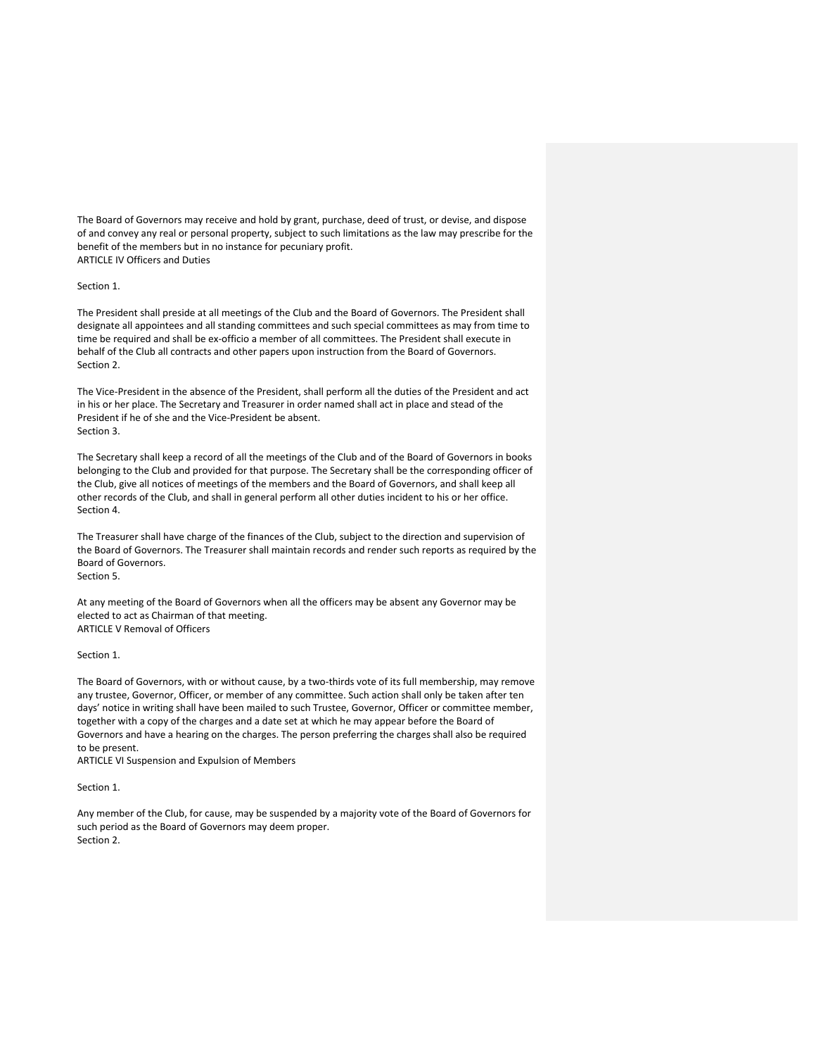The Board of Governors may receive and hold by grant, purchase, deed of trust, or devise, and dispose of and convey any real or personal property, subject to such limitations as the law may prescribe for the benefit of the members but in no instance for pecuniary profit. ARTICLE IV Officers and Duties

## Section 1.

The President shall preside at all meetings of the Club and the Board of Governors. The President shall designate all appointees and all standing committees and such special committees as may from time to time be required and shall be ex-officio a member of all committees. The President shall execute in behalf of the Club all contracts and other papers upon instruction from the Board of Governors. Section 2.

The Vice-President in the absence of the President, shall perform all the duties of the President and act in his or her place. The Secretary and Treasurer in order named shall act in place and stead of the President if he of she and the Vice-President be absent. Section 3.

The Secretary shall keep a record of all the meetings of the Club and of the Board of Governors in books belonging to the Club and provided for that purpose. The Secretary shall be the corresponding officer of the Club, give all notices of meetings of the members and the Board of Governors, and shall keep all other records of the Club, and shall in general perform all other duties incident to his or her office. Section 4.

The Treasurer shall have charge of the finances of the Club, subject to the direction and supervision of the Board of Governors. The Treasurer shall maintain records and render such reports as required by the Board of Governors.

Section 5.

At any meeting of the Board of Governors when all the officers may be absent any Governor may be elected to act as Chairman of that meeting. ARTICLE V Removal of Officers

# Section 1.

The Board of Governors, with or without cause, by a two-thirds vote of its full membership, may remove any trustee, Governor, Officer, or member of any committee. Such action shall only be taken after ten days' notice in writing shall have been mailed to such Trustee, Governor, Officer or committee member, together with a copy of the charges and a date set at which he may appear before the Board of Governors and have a hearing on the charges. The person preferring the charges shall also be required to be present.

ARTICLE VI Suspension and Expulsion of Members

## Section 1.

Any member of the Club, for cause, may be suspended by a majority vote of the Board of Governors for such period as the Board of Governors may deem proper. Section 2.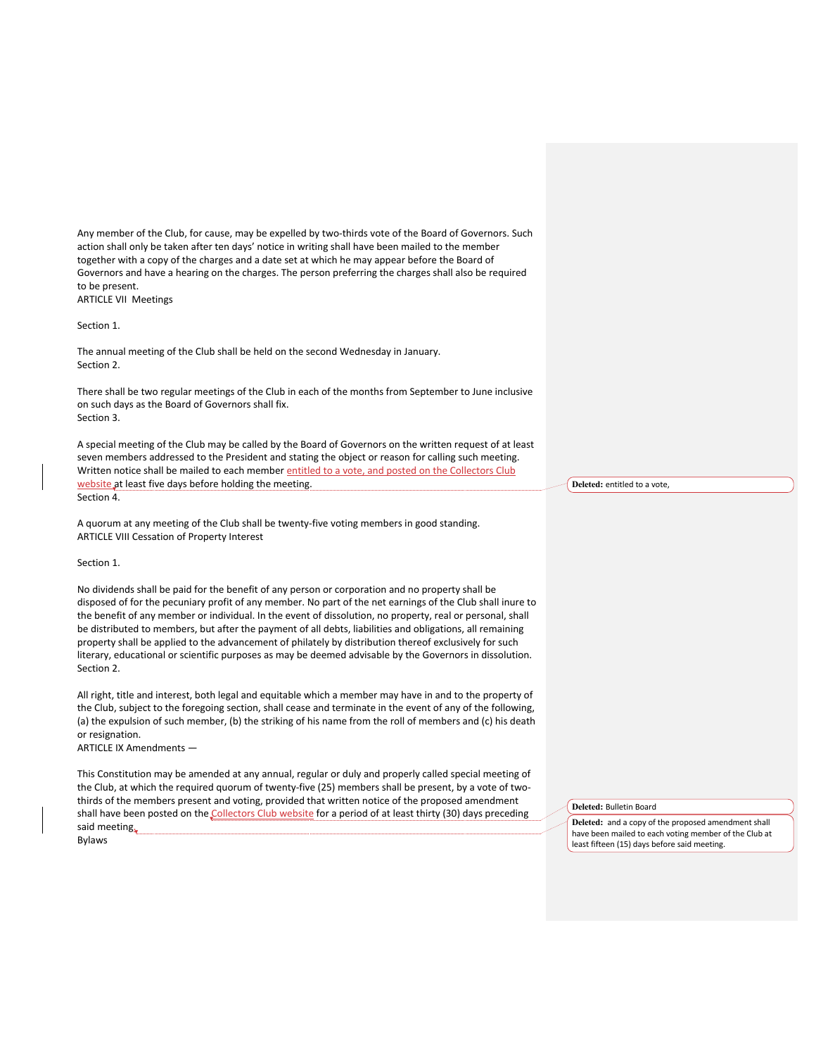Any member of the Club, for cause, may be expelled by two-thirds vote of the Board of Governors. Such action shall only be taken after ten days' notice in writing shall have been mailed to the member together with a copy of the charges and a date set at which he may appear before the Board of Governors and have a hearing on the charges. The person preferring the charges shall also be required to be present. ARTICLE VII Meetings

Section 1.

The annual meeting of the Club shall be held on the second Wednesday in January. Section 2.

There shall be two regular meetings of the Club in each of the months from September to June inclusive on such days as the Board of Governors shall fix. Section 3.

A special meeting of the Club may be called by the Board of Governors on the written request of at least seven members addressed to the President and stating the object or reason for calling such meeting. Written notice shall be mailed to each member entitled to a vote, and posted on the Collectors Club website at least five days before holding the meeting. Section 4.

A quorum at any meeting of the Club shall be twenty-five voting members in good standing. ARTICLE VIII Cessation of Property Interest

## Section 1.

No dividends shall be paid for the benefit of any person or corporation and no property shall be disposed of for the pecuniary profit of any member. No part of the net earnings of the Club shall inure to the benefit of any member or individual. In the event of dissolution, no property, real or personal, shall be distributed to members, but after the payment of all debts, liabilities and obligations, all remaining property shall be applied to the advancement of philately by distribution thereof exclusively for such literary, educational or scientific purposes as may be deemed advisable by the Governors in dissolution. Section 2.

All right, title and interest, both legal and equitable which a member may have in and to the property of the Club, subject to the foregoing section, shall cease and terminate in the event of any of the following, (a) the expulsion of such member, (b) the striking of his name from the roll of members and (c) his death or resignation.

ARTICLE IX Amendments —

This Constitution may be amended at any annual, regular or duly and properly called special meeting of the Club, at which the required quorum of twenty-five (25) members shall be present, by a vote of twothirds of the members present and voting, provided that written notice of the proposed amendment shall have been posted on the Collectors Club website for a period of at least thirty (30) days preceding said meeting. Bylaws

**Deleted:** entitled to a vote,

**Deleted:** Bulletin Board

**Deleted:** and a copy of the proposed amendment shall have been mailed to each voting member of the Club at least fifteen (15) days before said meeting.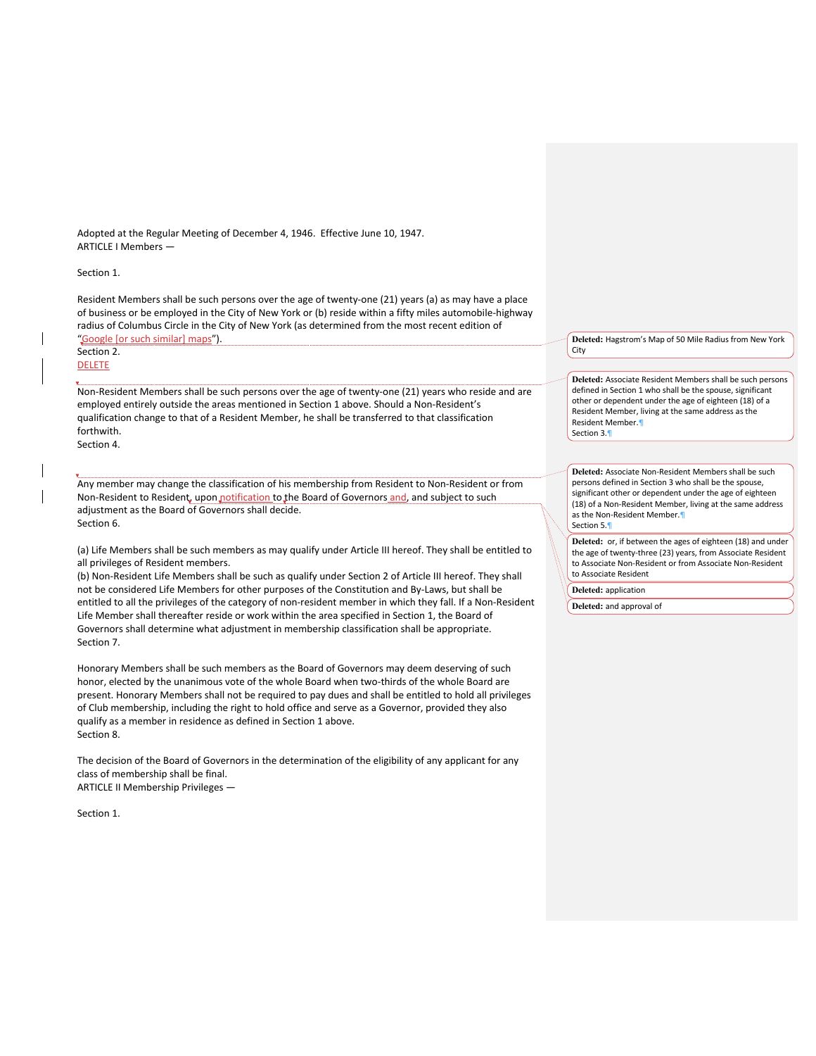Adopted at the Regular Meeting of December 4, 1946. Effective June 10, 1947. ARTICLE I Members —

## Section 1.

Resident Members shall be such persons over the age of twenty-one (21) years (a) as may have a place of business or be employed in the City of New York or (b) reside within a fifty miles automobile-highway radius of Columbus Circle in the City of New York (as determined from the most recent edition of "Google [or such similar] maps").

# Section 2. **DELETE**

Non-Resident Members shall be such persons over the age of twenty-one (21) years who reside and are employed entirely outside the areas mentioned in Section 1 above. Should a Non-Resident's qualification change to that of a Resident Member, he shall be transferred to that classification forthwith.

Section 4.

Any member may change the classification of his membership from Resident to Non-Resident or from Non-Resident to Resident, upon notification to the Board of Governors and, and subject to such adjustment as the Board of Governors shall decide. Section 6.

(a) Life Members shall be such members as may qualify under Article III hereof. They shall be entitled to all privileges of Resident members.

(b) Non-Resident Life Members shall be such as qualify under Section 2 of Article III hereof. They shall not be considered Life Members for other purposes of the Constitution and By-Laws, but shall be entitled to all the privileges of the category of non-resident member in which they fall. If a Non-Resident Life Member shall thereafter reside or work within the area specified in Section 1, the Board of Governors shall determine what adjustment in membership classification shall be appropriate. Section 7.

Honorary Members shall be such members as the Board of Governors may deem deserving of such honor, elected by the unanimous vote of the whole Board when two-thirds of the whole Board are present. Honorary Members shall not be required to pay dues and shall be entitled to hold all privileges of Club membership, including the right to hold office and serve as a Governor, provided they also qualify as a member in residence as defined in Section 1 above. Section 8.

The decision of the Board of Governors in the determination of the eligibility of any applicant for any class of membership shall be final. ARTICLE II Membership Privileges —

Section 1.

**Deleted:** Hagstrom's Map of 50 Mile Radius from New York City

**Deleted:** Associate Resident Members shall be such persons defined in Section 1 who shall be the spouse, significant other or dependent under the age of eighteen (18) of a Resident Member, living at the same address as the Resident Member.¶ Section 3.¶

**Deleted:** Associate Non-Resident Members shall be such persons defined in Section 3 who shall be the spouse, significant other or dependent under the age of eighteen (18) of a Non-Resident Member, living at the same address as the Non-Resident Member.¶ Section 5.¶

**Deleted:** or, if between the ages of eighteen (18) and under the age of twenty-three (23) years, from Associate Resident to Associate Non-Resident or from Associate Non-Resident to Associate Resident

**Deleted:** application

**Deleted:** and approval of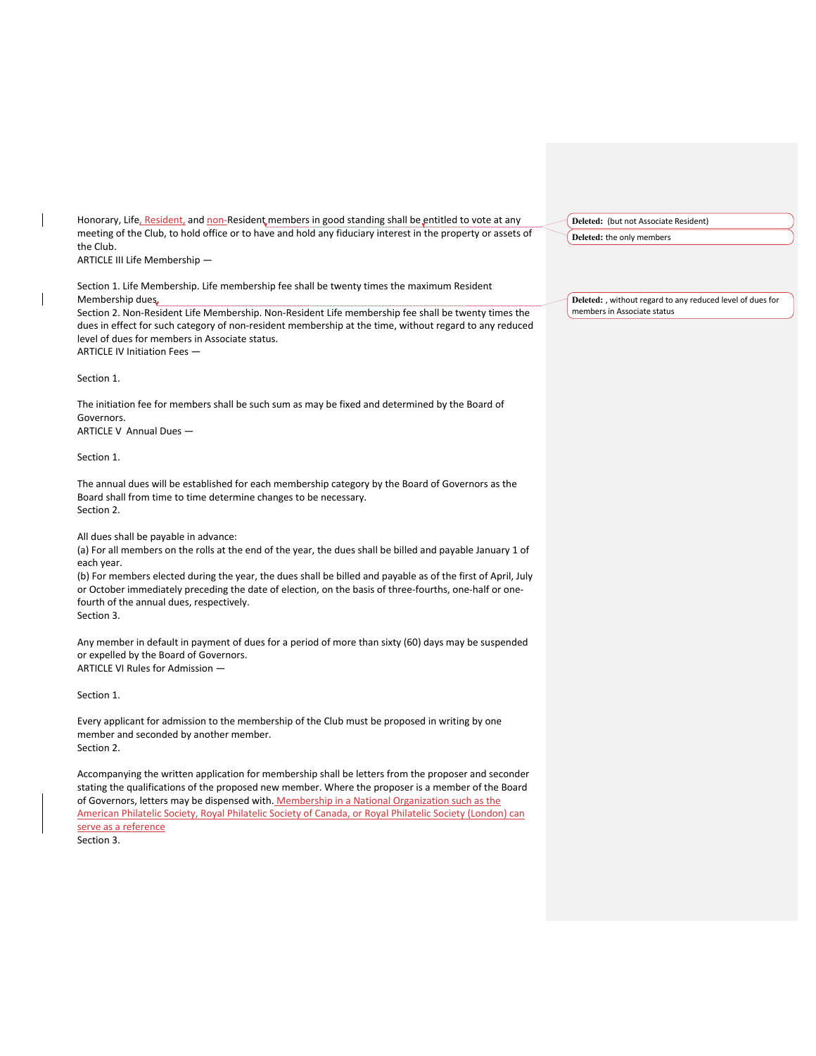Honorary, Life, Resident, and non-Resident members in good standing shall be entitled to vote at any meeting of the Club, to hold office or to have and hold any fiduciary interest in the property or assets of the Club. ARTICLE III Life Membership —

Section 1. Life Membership. Life membership fee shall be twenty times the maximum Resident Membership dues.

Section 2. Non-Resident Life Membership. Non-Resident Life membership fee shall be twenty times the dues in effect for such category of non-resident membership at the time, without regard to any reduced level of dues for members in Associate status.

ARTICLE IV Initiation Fees —

Section 1.

The initiation fee for members shall be such sum as may be fixed and determined by the Board of Governors. ARTICLE V Annual Dues —

Section 1.

The annual dues will be established for each membership category by the Board of Governors as the Board shall from time to time determine changes to be necessary. Section 2.

All dues shall be payable in advance:

(a) For all members on the rolls at the end of the year, the dues shall be billed and payable January 1 of each year.

(b) For members elected during the year, the dues shall be billed and payable as of the first of April, July or October immediately preceding the date of election, on the basis of three-fourths, one-half or onefourth of the annual dues, respectively.

Section 3.

Any member in default in payment of dues for a period of more than sixty (60) days may be suspended or expelled by the Board of Governors. ARTICLE VI Rules for Admission —

Section 1.

Every applicant for admission to the membership of the Club must be proposed in writing by one member and seconded by another member. Section 2.

Accompanying the written application for membership shall be letters from the proposer and seconder stating the qualifications of the proposed new member. Where the proposer is a member of the Board of Governors, letters may be dispensed with. Membership in a National Organization such as the American Philatelic Society, Royal Philatelic Society of Canada, or Royal Philatelic Society (London) can serve as a reference

Section 3.

**Deleted:** (but not Associate Resident)

**Deleted:** the only members

**Deleted:** , without regard to any reduced level of dues for members in Associate status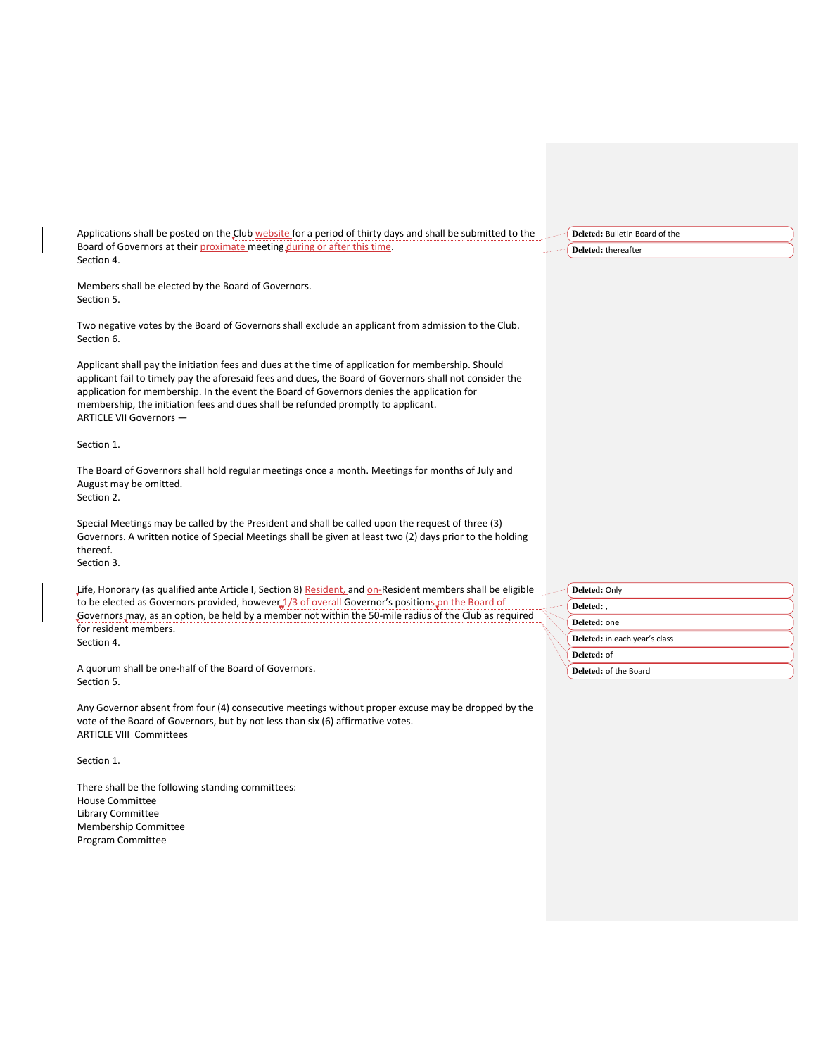| Applications shall be posted on the Club website for a period of thirty days and shall be submitted to the |
|------------------------------------------------------------------------------------------------------------|
| Board of Governors at their proximate meeting during or after this time.                                   |
| Section 4.                                                                                                 |

Members shall be elected by the Board of Governors. Section 5.

Two negative votes by the Board of Governors shall exclude an applicant from admission to the Club. Section 6.

Applicant shall pay the initiation fees and dues at the time of application for membership. Should applicant fail to timely pay the aforesaid fees and dues, the Board of Governors shall not consider the application for membership. In the event the Board of Governors denies the application for membership, the initiation fees and dues shall be refunded promptly to applicant. ARTICLE VII Governors —

Section 1.

The Board of Governors shall hold regular meetings once a month. Meetings for months of July and August may be omitted.

Section 2.

Special Meetings may be called by the President and shall be called upon the request of three (3) Governors. A written notice of Special Meetings shall be given at least two (2) days prior to the holding thereof. Section 3.

Life, Honorary (as qualified ante Article I, Section 8) Resident, and on-Resident members shall be eligible to be elected as Governors provided, however 1/3 of overall Governor's positions on the Board of Governors may, as an option, be held by a member not within the 50-mile radius of the Club as required for resident members. Section 4.

A quorum shall be one-half of the Board of Governors. Section 5.

Any Governor absent from four (4) consecutive meetings without proper excuse may be dropped by the vote of the Board of Governors, but by not less than six (6) affirmative votes. ARTICLE VIII Committees

Section 1.

There shall be the following standing committees: House Committee Library Committee Membership Committee Program Committee

**Deleted:** Bulletin Board of the **Deleted:** thereafter

**Deleted:** Only **Deleted:** , **Deleted:** one **Deleted:** in each year's class **Deleted:** of **Deleted:** of the Board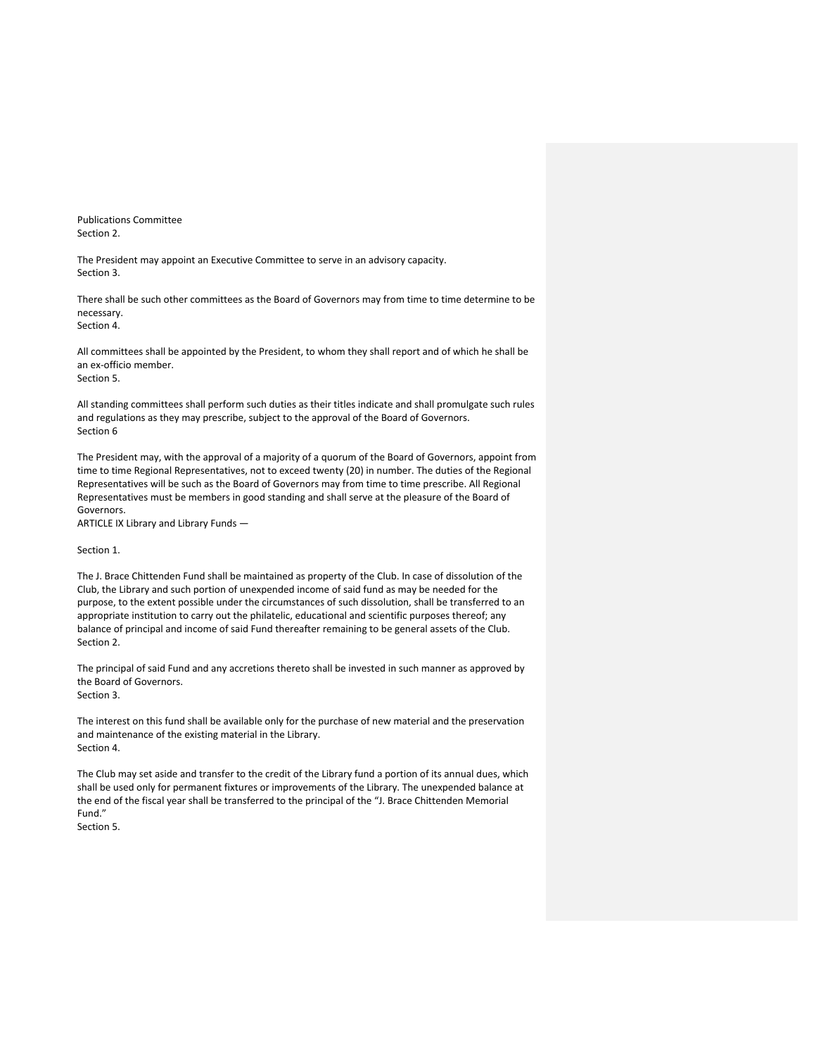Publications Committee Section 2.

The President may appoint an Executive Committee to serve in an advisory capacity. Section 3.

There shall be such other committees as the Board of Governors may from time to time determine to be necessary. Section 4.

All committees shall be appointed by the President, to whom they shall report and of which he shall be an ex-officio member. Section 5.

All standing committees shall perform such duties as their titles indicate and shall promulgate such rules and regulations as they may prescribe, subject to the approval of the Board of Governors. Section 6

The President may, with the approval of a majority of a quorum of the Board of Governors, appoint from time to time Regional Representatives, not to exceed twenty (20) in number. The duties of the Regional Representatives will be such as the Board of Governors may from time to time prescribe. All Regional Representatives must be members in good standing and shall serve at the pleasure of the Board of Governors.

ARTICLE IX Library and Library Funds —

Section 1.

The J. Brace Chittenden Fund shall be maintained as property of the Club. In case of dissolution of the Club, the Library and such portion of unexpended income of said fund as may be needed for the purpose, to the extent possible under the circumstances of such dissolution, shall be transferred to an appropriate institution to carry out the philatelic, educational and scientific purposes thereof; any balance of principal and income of said Fund thereafter remaining to be general assets of the Club. Section 2.

The principal of said Fund and any accretions thereto shall be invested in such manner as approved by the Board of Governors. Section 3.

The interest on this fund shall be available only for the purchase of new material and the preservation and maintenance of the existing material in the Library. Section 4.

The Club may set aside and transfer to the credit of the Library fund a portion of its annual dues, which shall be used only for permanent fixtures or improvements of the Library. The unexpended balance at the end of the fiscal year shall be transferred to the principal of the "J. Brace Chittenden Memorial Fund."

Section 5.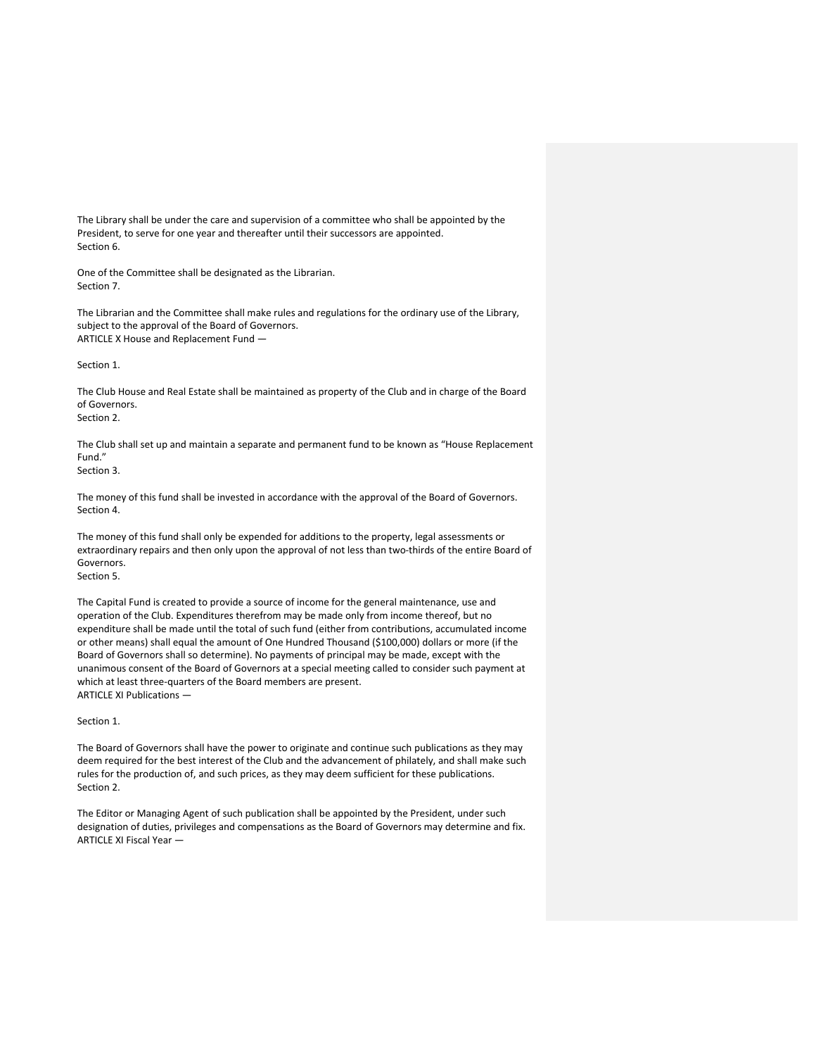The Library shall be under the care and supervision of a committee who shall be appointed by the President, to serve for one year and thereafter until their successors are appointed. Section 6.

One of the Committee shall be designated as the Librarian. Section 7.

The Librarian and the Committee shall make rules and regulations for the ordinary use of the Library, subject to the approval of the Board of Governors. ARTICLE X House and Replacement Fund —

# Section 1.

The Club House and Real Estate shall be maintained as property of the Club and in charge of the Board of Governors. Section 2.

The Club shall set up and maintain a separate and permanent fund to be known as "House Replacement Fund."

# Section 3.

The money of this fund shall be invested in accordance with the approval of the Board of Governors. Section 4.

The money of this fund shall only be expended for additions to the property, legal assessments or extraordinary repairs and then only upon the approval of not less than two-thirds of the entire Board of Governors.

Section 5.

The Capital Fund is created to provide a source of income for the general maintenance, use and operation of the Club. Expenditures therefrom may be made only from income thereof, but no expenditure shall be made until the total of such fund (either from contributions, accumulated income or other means) shall equal the amount of One Hundred Thousand (\$100,000) dollars or more (if the Board of Governors shall so determine). No payments of principal may be made, except with the unanimous consent of the Board of Governors at a special meeting called to consider such payment at which at least three-quarters of the Board members are present. ARTICLE XI Publications —

Section 1.

The Board of Governors shall have the power to originate and continue such publications as they may deem required for the best interest of the Club and the advancement of philately, and shall make such rules for the production of, and such prices, as they may deem sufficient for these publications. Section 2.

The Editor or Managing Agent of such publication shall be appointed by the President, under such designation of duties, privileges and compensations as the Board of Governors may determine and fix. ARTICLE XI Fiscal Year —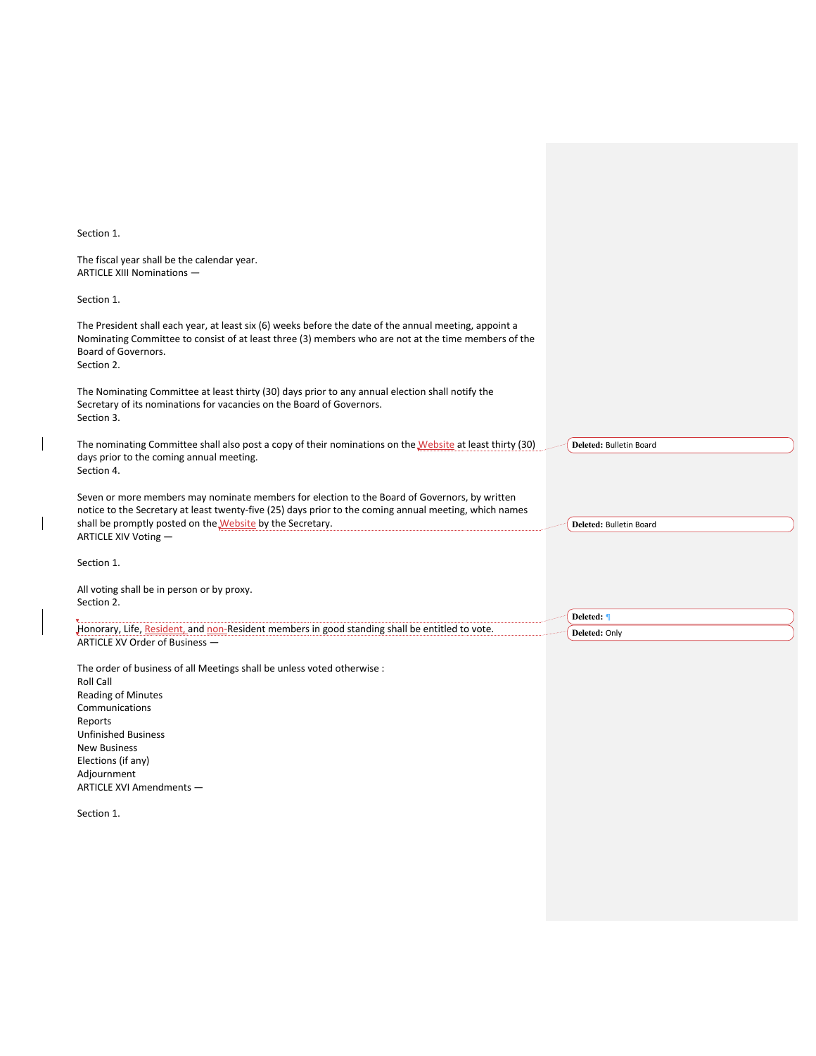Section 1.

 $\overline{\phantom{a}}$ 

 $\overline{\phantom{a}}$ 

| Section 1.                                                                                                                                                                                                                                                                                   |                             |
|----------------------------------------------------------------------------------------------------------------------------------------------------------------------------------------------------------------------------------------------------------------------------------------------|-----------------------------|
| The fiscal year shall be the calendar year.<br>ARTICLE XIII Nominations -                                                                                                                                                                                                                    |                             |
| Section 1.                                                                                                                                                                                                                                                                                   |                             |
| The President shall each year, at least six (6) weeks before the date of the annual meeting, appoint a<br>Nominating Committee to consist of at least three (3) members who are not at the time members of the<br>Board of Governors.<br>Section 2.                                          |                             |
| The Nominating Committee at least thirty (30) days prior to any annual election shall notify the<br>Secretary of its nominations for vacancies on the Board of Governors.<br>Section 3.                                                                                                      |                             |
| The nominating Committee shall also post a copy of their nominations on the Website at least thirty (30)<br>days prior to the coming annual meeting.<br>Section 4.                                                                                                                           | Deleted: Bulletin Board     |
| Seven or more members may nominate members for election to the Board of Governors, by written<br>notice to the Secretary at least twenty-five (25) days prior to the coming annual meeting, which names<br>shall be promptly posted on the Website by the Secretary.<br>ARTICLE XIV Voting - | Deleted: Bulletin Board     |
| Section 1.                                                                                                                                                                                                                                                                                   |                             |
| All voting shall be in person or by proxy.<br>Section 2.                                                                                                                                                                                                                                     |                             |
| Honorary, Life, Resident, and non-Resident members in good standing shall be entitled to vote.<br>ARTICLE XV Order of Business -                                                                                                                                                             | Deleted: ¶<br>Deleted: Only |
| The order of business of all Meetings shall be unless voted otherwise :<br><b>Roll Call</b><br><b>Reading of Minutes</b><br>Communications                                                                                                                                                   |                             |
| Reports<br><b>Unfinished Business</b><br><b>New Business</b>                                                                                                                                                                                                                                 |                             |

Adjournment ARTICLE XVI Amendments —

Elections (if any)

Section 1.